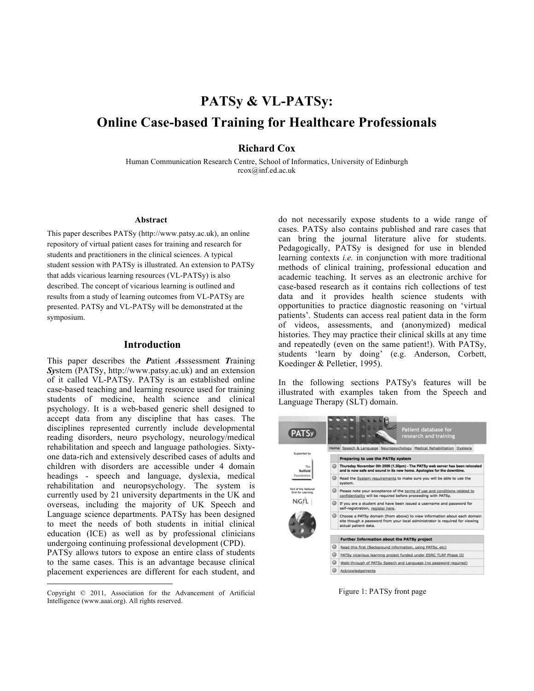# **PATSy & VL-PATSy: Online Case-based Training for Healthcare Professionals**

## **Richard Cox**

Human Communication Research Centre, School of Informatics, University of Edinburgh rcox@inf.ed.ac.uk

#### **Abstract**

This paper describes PATSy (http://www.patsy.ac.uk), an online repository of virtual patient cases for training and research for students and practitioners in the clinical sciences. A typical student session with PATSy is illustrated. An extension to PATSy that adds vicarious learning resources (VL-PATSy) is also described. The concept of vicarious learning is outlined and results from a study of learning outcomes from VL-PATSy are presented. PATSy and VL-PATSy will be demonstrated at the symposium.

### **Introduction**

This paper describes the *P*atient *A*sssessment *T*raining *Sy*stem (PATSy, http://www.patsy.ac.uk) and an extension of it called VL-PATSy. PATSy is an established online case-based teaching and learning resource used for training students of medicine, health science and clinical psychology. It is a web-based generic shell designed to accept data from any discipline that has cases. The disciplines represented currently include developmental reading disorders, neuro psychology, neurology/medical rehabilitation and speech and language pathologies. Sixtyone data-rich and extensively described cases of adults and children with disorders are accessible under 4 domain headings - speech and language, dyslexia, medical rehabilitation and neuropsychology. The system is currently used by 21 university departments in the UK and overseas, including the majority of UK Speech and Language science departments. PATSy has been designed to meet the needs of both students in initial clinical education (ICE) as well as by professional clinicians undergoing continuing professional development (CPD).

PATSy allows tutors to expose an entire class of students to the same cases. This is an advantage because clinical placement experiences are different for each student, and do not necessarily expose students to a wide range of cases. PATSy also contains published and rare cases that can bring the journal literature alive for students. Pedagogically, PATSy is designed for use in blended learning contexts *i.e.* in conjunction with more traditional methods of clinical training, professional education and academic teaching. It serves as an electronic archive for case-based research as it contains rich collections of test data and it provides health science students with opportunities to practice diagnostic reasoning on 'virtual patients'. Students can access real patient data in the form of videos, assessments, and (anonymized) medical histories. They may practice their clinical skills at any time and repeatedly (even on the same patient!). With PATSy, students 'learn by doing' (e.g. Anderson, Corbett, Koedinger & Pelletier, 1995).

In the following sections PATSy's features will be illustrated with examples taken from the Speech and Language Therapy (SLT) domain.



Figure 1: PATSy front page

Copyright © 2011, Association for the Advancement of Artificial Intelligence (www.aaai.org). All rights reserved.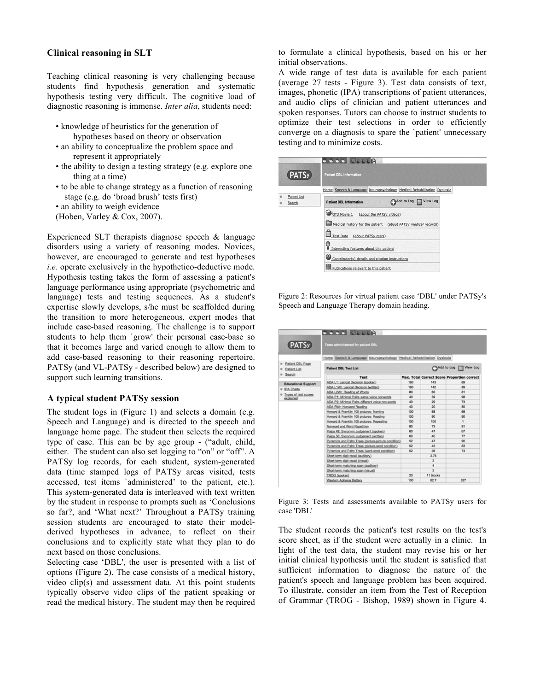#### **Clinical reasoning in SLT**

Teaching clinical reasoning is very challenging because students find hypothesis generation and systematic hypothesis testing very difficult. The cognitive load of diagnostic reasoning is immense. *Inter alia*, students need:

- knowledge of heuristics for the generation of hypotheses based on theory or observation
- an ability to conceptualize the problem space and represent it appropriately
- the ability to design a testing strategy (e.g. explore one thing at a time)
- to be able to change strategy as a function of reasoning stage (e.g. do 'broad brush' tests first)
- an ability to weigh evidence

(Hoben, Varley & Cox, 2007).

Experienced SLT therapists diagnose speech & language disorders using a variety of reasoning modes. Novices, however, are encouraged to generate and test hypotheses *i.e.* operate exclusively in the hypothetico-deductive mode. Hypothesis testing takes the form of assessing a patient's language performance using appropriate (psychometric and language) tests and testing sequences. As a student's expertise slowly develops, s/he must be scaffolded during the transition to more heterogeneous, expert modes that include case-based reasoning. The challenge is to support students to help them `grow' their personal case-base so that it becomes large and varied enough to allow them to add case-based reasoning to their reasoning repertoire. PATSy (and VL-PATSy - described below) are designed to support such learning transitions.

#### **A typical student PATSy session**

The student logs in (Figure 1) and selects a domain (e.g. Speech and Language) and is directed to the speech and language home page. The student then selects the required type of case. This can be by age group - ("adult, child, either. The student can also set logging to "on" or "off". A PATSy log records, for each student, system-generated data (time stamped logs of PATSy areas visited, tests accessed, test items `administered' to the patient, etc.). This system-generated data is interleaved with text written by the student in response to prompts such as 'Conclusions so far?, and 'What next?' Throughout a PATSy training session students are encouraged to state their modelderived hypotheses in advance, to reflect on their conclusions and to explicitly state what they plan to do next based on those conclusions.

Selecting case 'DBL', the user is presented with a list of options (Figure 2). The case consists of a medical history, video clip(s) and assessment data. At this point students typically observe video clips of the patient speaking or read the medical history. The student may then be required to formulate a clinical hypothesis, based on his or her initial observations.

A wide range of test data is available for each patient (average 27 tests - Figure 3). Test data consists of text, images, phonetic (IPA) transcriptions of patient utterances, and audio clips of clinician and patient utterances and spoken responses. Tutors can choose to instruct students to optimize their test selections in order to efficiently converge on a diagnosis to spare the `patient' unnecessary testing and to minimize costs.

| (PATSy)                | <b>Patient DBL Information</b>                                         |  |  |  |
|------------------------|------------------------------------------------------------------------|--|--|--|
|                        | Home Speech & Language Neuropsychology Medical Rehabilitation Dyslexia |  |  |  |
| Patient List<br>Search | Add to Log View Log<br><b>Patient DBL Information</b>                  |  |  |  |
|                        | FOT3 Movie 1 (about the PATSy videos)                                  |  |  |  |
|                        | Medical history for the patient (about PATSy medical records)          |  |  |  |
|                        | Test Data (about PATSy tests)                                          |  |  |  |
|                        | Interesting features about this patient                                |  |  |  |
|                        | Contributor(s) details and citation instructions                       |  |  |  |
|                        | Publications relevant to this patient                                  |  |  |  |

Figure 2: Resources for virtual patient case 'DBL' under PATSy's Speech and Language Therapy domain heading.

| (PATSy)                                                            | <b>COOOTCCCCR</b><br>Tests administered for patient DBL                |           |                         |                                                    |  |
|--------------------------------------------------------------------|------------------------------------------------------------------------|-----------|-------------------------|----------------------------------------------------|--|
|                                                                    | Home Speech & Language Neuropsychology Medical Rehabilitation Dyslexia |           |                         |                                                    |  |
| Patient DBL Page<br>$\circ$<br>Patient List<br>$\circ$<br>e Search | <b>Patient DBL Test List</b>                                           |           |                         | Add to Log Wiew Log                                |  |
|                                                                    | <b>Test</b>                                                            |           |                         | <b>Max. Total Correct Score Proportion correct</b> |  |
| <b>Educational Support</b>                                         | ADA L1: Lexical Decision (spoken)                                      | 160       | 143                     | 89                                                 |  |
| e IPA Charts<br><sup>®</sup> Types of test scores<br>explained     | ADA L1Wr. Lexical Decision (written)                                   | 180       | 142                     | 89                                                 |  |
|                                                                    | ADA L2Wr. Reading of Words                                             | <b>BD</b> | 65                      | R1                                                 |  |
|                                                                    | ADA P1: Minimal Pairs same voice nonwords                              | 40        | 39                      | 98                                                 |  |
|                                                                    | ADA P2: Minimal Pairs different voice non-words                        | 40        | 29                      | .73                                                |  |
|                                                                    | ADA RWr. Nonword Reading                                               | Ah        | 20                      | 50                                                 |  |
|                                                                    | Howard & Franklin 100 pictures: Naming                                 | 100       | 6R                      | 68                                                 |  |
|                                                                    | Howard & Franklin 100 pictures: Reading                                | 100       | $\infty$                | .90                                                |  |
|                                                                    | Howard & Franklin 100 pictures: Repeating                              | 100       | 100                     | 1                                                  |  |
|                                                                    | Nonword and Word Repetition                                            | 80        | 73                      | .91                                                |  |
|                                                                    | Palpa 49: Synonym Judgement (spoken)                                   | 60        | 47                      | .67                                                |  |
|                                                                    | Palpa 50: Synonym Judgement (written)                                  | 60        | 48                      | .77                                                |  |
|                                                                    | Pyramids and Palm Trees (picture-picture condition)                    | 62        | 47                      | 500                                                |  |
|                                                                    | Pyramids and Palm Trees (picture-word condition)                       | 62        | 43                      | 83                                                 |  |
|                                                                    | Pyramids and Palm Trees (word-word condition)                          | R2        | 38                      | T3                                                 |  |
|                                                                    | Short-term digit recall (auditory)                                     |           | 3.75                    |                                                    |  |
|                                                                    | Short-term digit recall (visual)                                       |           | $\mathbf{a}$            |                                                    |  |
|                                                                    | Short-term matching span (auditory)                                    |           | 4                       |                                                    |  |
|                                                                    | Short-term matching span (visual)                                      |           | $\overline{\mathbf{3}}$ |                                                    |  |
|                                                                    | TROG (spoken)                                                          | 20        | 11 blocks               |                                                    |  |
|                                                                    | Western Aphasia Battery                                                | 100       | 82.7                    | 827                                                |  |

Figure 3: Tests and assessments available to PATSy users for case 'DBL'

The student records the patient's test results on the test's score sheet, as if the student were actually in a clinic. In light of the test data, the student may revise his or her initial clinical hypothesis until the student is satisfied that sufficient information to diagnose the nature of the patient's speech and language problem has been acquired. To illustrate, consider an item from the Test of Reception of Grammar (TROG - Bishop, 1989) shown in Figure 4.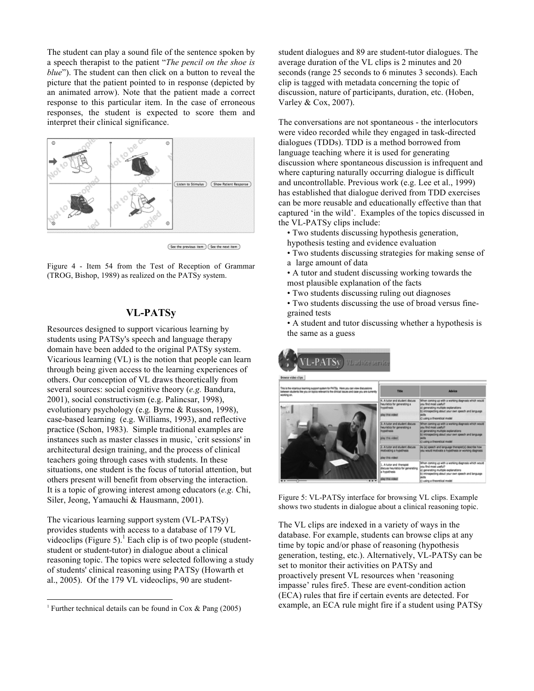The student can play a sound file of the sentence spoken by a speech therapist to the patient "*The pencil on the shoe is blue*"). The student can then click on a button to reveal the picture that the patient pointed to in response (depicted by an animated arrow). Note that the patient made a correct response to this particular item. In the case of erroneous responses, the student is expected to score them and interpret their clinical significance.



(See the previous item) (See the next item)

Figure 4 - Item 54 from the Test of Reception of Grammar (TROG, Bishop, 1989) as realized on the PATSy system.

# **VL-PATSy**

Resources designed to support vicarious learning by students using PATSy's speech and language therapy domain have been added to the original PATSy system. Vicarious learning (VL) is the notion that people can learn through being given access to the learning experiences of others. Our conception of VL draws theoretically from several sources: social cognitive theory (*e.g.* Bandura, 2001), social constructivism (e.g. Palincsar, 1998), evolutionary psychology (e.g*.* Byrne & Russon, 1998), case-based learning (e.g. Williams, 1993), and reflective practice (Schon, 1983). Simple traditional examples are instances such as master classes in music, `crit sessions' in architectural design training, and the process of clinical teachers going through cases with students. In these situations, one student is the focus of tutorial attention, but others present will benefit from observing the interaction. It is a topic of growing interest among educators (*e.g.* Chi, Siler, Jeong, Yamauchi & Hausmann, 2001).

The vicarious learning support system (VL-PATSy) provides students with access to a database of 179 VL videoclips (Figure 5).<sup>1</sup> Each clip is of two people (studentstudent or student-tutor) in dialogue about a clinical reasoning topic. The topics were selected following a study of students' clinical reasoning using PATSy (Howarth et al., 2005). Of the 179 VL videoclips, 90 are studentstudent dialogues and 89 are student-tutor dialogues. The average duration of the VL clips is 2 minutes and 20 seconds (range 25 seconds to 6 minutes 3 seconds). Each clip is tagged with metadata concerning the topic of discussion, nature of participants, duration, etc. (Hoben, Varley & Cox, 2007).

The conversations are not spontaneous - the interlocutors were video recorded while they engaged in task-directed dialogues (TDDs). TDD is a method borrowed from language teaching where it is used for generating discussion where spontaneous discussion is infrequent and where capturing naturally occurring dialogue is difficult and uncontrollable. Previous work (e.g. Lee et al., 1999) has established that dialogue derived from TDD exercises can be more reusable and educationally effective than that captured 'in the wild'. Examples of the topics discussed in the VL-PATSy clips include:

• Two students discussing hypothesis generation,

- hypothesis testing and evidence evaluation
- Two students discussing strategies for making sense of a large amount of data
- A tutor and student discussing working towards the most plausible explanation of the facts
- Two students discussing ruling out diagnoses
- Two students discussing the use of broad versus finegrained tests

• A student and tutor discussing whether a hypothesis is the same as a guess

# -PATSy **Ladyles**

Figure 5: VL-PATSy interface for browsing VL clips. Example shows two students in dialogue about a clinical reasoning topic.

The VL clips are indexed in a variety of ways in the database. For example, students can browse clips at any time by topic and/or phase of reasoning (hypothesis generation, testing, etc.). Alternatively, VL-PATSy can be set to monitor their activities on PATSy and proactively present VL resources when 'reasoning impasse' rules fire5. These are event-condition action (ECA) rules that fire if certain events are detected. For example, an ECA rule might fire if a student using PATSy

<sup>&</sup>lt;sup>1</sup> Further technical details can be found in Cox  $\&$  Pang (2005)